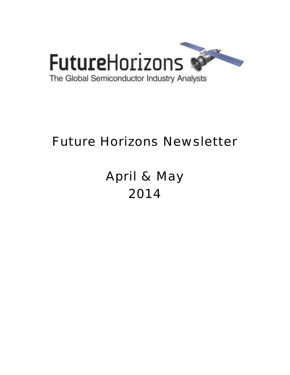

# Future Horizons Newsletter

# April & May 2014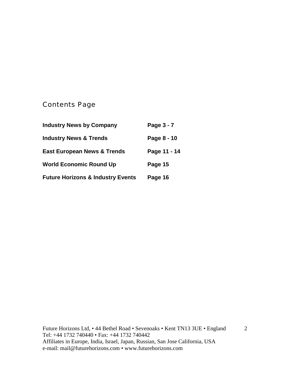# Contents Page

| <b>Industry News by Company</b>              | Page 3 - 7   |
|----------------------------------------------|--------------|
| <b>Industry News &amp; Trends</b>            | Page 8 - 10  |
| <b>East European News &amp; Trends</b>       | Page 11 - 14 |
| <b>World Economic Round Up</b>               | Page 15      |
| <b>Future Horizons &amp; Industry Events</b> | Page 16      |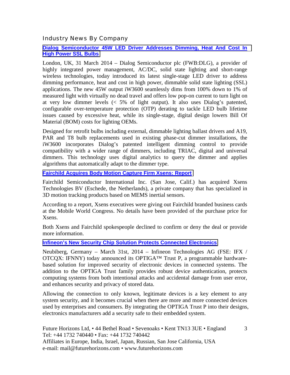Industry News By Company

#### **[Dialog Semiconductor 45W LED Driver Addresses Dimming, Heat And Cost In](http://iwatt.com/press-release/dialog-semiconductor-45w-led-driver-addresses-dimming-heat-and-cost-in-high-power-ssl-bulbs/)  [High Power SSL Bulbs](http://iwatt.com/press-release/dialog-semiconductor-45w-led-driver-addresses-dimming-heat-and-cost-in-high-power-ssl-bulbs/)**

London, UK, 31 March 2014 – Dialog Semiconductor plc (FWB:DLG), a provider of highly integrated power management, AC/DC, solid state lighting and short-range wireless technologies, today introduced its latest single-stage LED driver to address dimming performance, heat and cost in high power, dimmable solid state lighting (SSL) applications. The new 45W output iW3600 seamlessly dims from 100% down to 1% of measured light with virtually no dead travel and offers low pop-on current to turn light on at very low dimmer levels  $\langle 5\% \rangle$  of light output). It also uses Dialog's patented, configurable over-temperature protection (OTP) derating to tackle LED bulb lifetime issues caused by excessive heat, while its single-stage, digital design lowers Bill Of Material (BOM) costs for lighting OEMs.

Designed for retrofit bulbs including external, dimmable lighting ballast drivers and A19, PAR and T8 bulb replacements used in existing phase-cut dimmer installations, the iW3600 incorporates Dialog's patented intelligent dimming control to provide compatibility with a wider range of dimmers, including TRIAC, digital and universal dimmers. This technology uses digital analytics to query the dimmer and applies algorithms that automatically adapt to the dimmer type.

#### **[Fairchild Acquires Body Motion Capture Firm Xsens: Report](http://www.eetimes.com/document.asp?doc_id=1321348&_mc=RSS_EET_EDT)**

Fairchild Semiconductor International Inc. (San Jose, Calif.) has acquired Xsens Technologies BV (Eschede, the Netherlands), a private company that has specialized in 3D motion tracking products based on MEMS inertial sensors.

According to a report, Xsens executives were giving out Fairchild branded business cards at the Mobile World Congress. No details have been provided of the purchase price for Xsens.

Both Xsens and Fairchild spokespeople declined to confirm or deny the deal or provide more information.

## **[Infineon's New Security Chip Solution Protects Connected Electronics](http://www.infineon.com/cms/en/corporate/press/news/releases/2014/INFCCS201403-032.html)**

Neubiberg, Germany – March 31st, 2014 – Infineon Technologies AG (FSE: IFX / OTCQX: IFNNY) today announced its OPTIGA™ Trust P, a programmable hardwarebased solution for improved security of electronic devices in connected systems. The addition to the OPTIGA Trust family provides robust device authentication, protects computing systems from both intentional attacks and accidental damage from user error, and enhances security and privacy of stored data.

Allowing the connection to only known, legitimate devices is a key element to any system security, and it becomes crucial when there are more and more connected devices used by enterprises and consumers. By integrating the OPTIGA Trust P into their designs, electronics manufacturers add a security safe to their embedded system.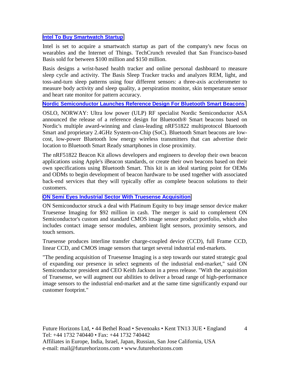#### **Intel To Buy Smartwatch Startup**

Intel is set to acquire a smartwatch startup as part of the company's new focus on wearables and the Internet of Things. TechCrunch revealed that San Francisco-based Basis sold for between \$100 million and \$150 million.

Basis designs a wrist-based health tracker and online personal dashboard to measure sleep cycle and activity. The Basis Sleep Tracker tracks and analyzes REM, light, and toss-and-turn sleep patterns using four different sensors: a three-axis accelerometer to measure body activity and sleep quality, a perspiration monitor, skin temperature sensor and heart rate monitor for pattern accuracy.

#### **[Nordic Semiconductor Launches Reference Design For Bluetooth Smart Beacons](http://www.ciol.com/ciol/news/212889/nordic-semiconductor-launches-reference-design-bluetooth-smart-beacons)**

OSLO, NORWAY: Ultra low power (ULP) RF specialist Nordic Semiconductor ASA announced the release of a reference design for Bluetooth® Smart beacons based on Nordic's multiple award-winning and class-leading nRF51822 multiprotocol Bluetooth Smart and proprietary 2.4GHz System-on-Chip (SoC). Bluetooth Smart beacons are lowcost, low-power Bluetooth low energy wireless transmitters that can advertise their location to Bluetooth Smart Ready smartphones in close proximity.

The nRF51822 Beacon Kit allows developers and engineers to develop their own beacon applications using Apple's iBeacon standards, or create their own beacons based on their own specifications using Bluetooth Smart. This kit is an ideal starting point for OEMs and ODMs to begin development of beacon hardware to be used together with associated back-end services that they will typically offer as complete beacon solutions to their customers.

## **[ON Semi Eyes Industrial Sector With Truesense Acquisition](http://www.eetindia.co.in/ART_8800696870_1800015_NT_591f1dd2.HTM)**

ON Semiconductor struck a deal with Platinum Equity to buy image sensor device maker Truesense Imaging for \$92 million in cash. The merger is said to complement ON Semiconductor's custom and standard CMOS image sensor product portfolio, which also includes contact image sensor modules, ambient light sensors, proximity sensors, and touch sensors.

Truesense produces interline transfer charge-coupled device (CCD), full Frame CCD, linear CCD, and CMOS image sensors that target several industrial end-markets.

"The pending acquisition of Truesense Imaging is a step towards our stated strategic goal of expanding our presence in select segments of the industrial end-market," said ON Semiconductor president and CEO Keith Jackson in a press release. "With the acquisition of Truesense, we will augment our abilities to deliver a broad range of high-performance image sensors to the industrial end-market and at the same time significantly expand our customer footprint."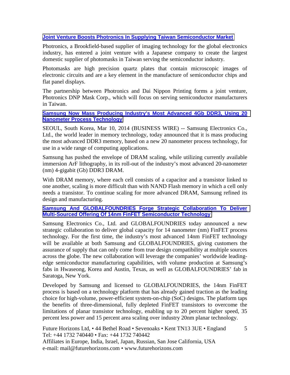## **[Joint Venture Boosts Photronics In Supplying Taiwan Semiconductor Market](http://www.newstimes.com/news/article/Joint-venture-boosts-Photronics-in-supplying-5386925.php)**

Photronics, a Brookfield-based supplier of imaging technology for the global electronics industry, has entered a joint venture with a Japanese company to create the largest domestic supplier of photomasks in Taiwan serving the semiconductor industry.

Photomasks are high precision quartz plates that contain microscopic images of electronic circuits and are a key element in the manufacture of semiconductor chips and flat panel displays.

The partnership between Photronics and Dai Nippon Printing forms a joint venture, Photronics DNP Mask Corp., which will focus on serving semiconductor manufacturers in Taiwan.

#### **[Samsung Now Mass Producing Industry's Most Advanced 4Gb DDR3, Using 20](http://www.marketwatch.com/story/samsung-now-mass-producing-industrys-most-advanced-4gb-ddr3-using-20-nanometer-process-technology-2014-03-10?reflink=MW_news_stmp)  [Nanometer Process Technology](http://www.marketwatch.com/story/samsung-now-mass-producing-industrys-most-advanced-4gb-ddr3-using-20-nanometer-process-technology-2014-03-10?reflink=MW_news_stmp)**

SEOUL, South Korea, Mar 10, 2014 (BUSINESS WIRE) -- Samsung Electronics Co., Ltd., the world leader in memory technology, today announced that it is mass producing the most advanced DDR3 memory, based on a new 20 nanometer process technology, for use in a wide range of computing applications.

Samsung has pushed the envelope of DRAM scaling, while utilizing currently available immersion ArF lithography, in its roll-out of the industry's most advanced 20-nanometer (nm) 4-gigabit (Gb) DDR3 DRAM.

With DRAM memory, where each cell consists of a capacitor and a transistor linked to one another, scaling is more difficult than with NAND Flash memory in which a cell only needs a transistor. To continue scaling for more advanced DRAM, Samsung refined its design and manufacturing.

#### **[Samsung And GLOBALFOUNDRIES Forge Strategic Collaboration To Deliver](http://www.marketwatch.com/story/samsung-and-globalfoundries-forge-strategic-collaboration-to-deliver-multi-sourced-offering-of-14nm-finfet-semiconductor-technology-2014-04-17)  [Multi-Sourced Offering Of 14nm FinFET Semiconductor Technology](http://www.marketwatch.com/story/samsung-and-globalfoundries-forge-strategic-collaboration-to-deliver-multi-sourced-offering-of-14nm-finfet-semiconductor-technology-2014-04-17)**

Samsung Electronics Co., Ltd. and GLOBALFOUNDRIES today announced a new strategic collaboration to deliver global capacity for 14 nanometer (nm) FinFET process technology. For the first time, the industry's most advanced 14nm FinFET technology will be available at both Samsung and GLOBALFOUNDRIES, giving customers the assurance of supply that can only come from true design compatibility at multiple sources across the globe. The new collaboration will leverage the companies' worldwide leadingedge semiconductor manufacturing capabilities, with volume production at Samsung's fabs in Hwaseong, Korea and Austin, Texas, as well as GLOBALFOUNDRIES' fab in Saratoga, New York.

Developed by Samsung and licensed to GLOBALFOUNDRIES, the 14nm FinFET process is based on a technology platform that has already gained traction as the leading choice for high-volume, power-efficient system-on-chip (SoC) designs. The platform taps the benefits of three-dimensional, fully depleted FinFET transistors to overcome the limitations of planar transistor technology, enabling up to 20 percent higher speed, 35 percent less power and 15 percent area scaling over industry 20nm planar technology.

Future Horizons Ltd, • 44 Bethel Road • Sevenoaks • Kent TN13 3UE • England Tel: +44 1732 740440 • Fax: +44 1732 740442 Affiliates in Europe, India, Israel, Japan, Russian, San Jose California, USA e-mail: mail@futurehorizons.com • www.futurehorizons.com

5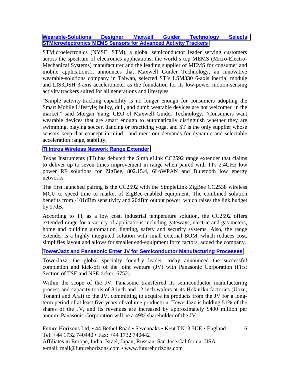#### **[Wearable-Solutions Designer Maxwell Guider Technology Selects](http://www.st.com/web/en/press/en/t3542)  [STMicroelectronics MEMS Sensors for Advanced Activity Trackers](http://www.st.com/web/en/press/en/t3542)**

STMicroelectronics (NYSE: STM), a global semiconductor leader serving customers across the spectrum of electronics applications, the world's top MEMS (Micro-Electro-Mechanical Systems) manufacturer and the leading supplier of MEMS for consumer and mobile applications1, announces that Maxwell Guider Technology, an innovative wearable-solutions company in Taiwan, selected ST's LSM330 6-axis inertial module and LIS3DSH 3-axis accelerometer as the foundation for its low-power motion-sensing activity trackers suited for all generations and lifestyles.

"Simple activity-tracking capability is no longer enough for consumers adopting the Smart Mobile Lifestyle; bulky, dull, and dumb wearable devices are not welcomed in the market," said Morgan Yang, CEO of Maxwell Guider Technology. "Consumers want wearable devices that are smart enough to automatically distinguish whether they are swimming, playing soccer, dancing or practicing yoga, and ST is the only supplier whose sensors keep that concept in mind—and meet our demands for dynamic and selectable acceleration range, stability,

#### **[TI Intros Wireless Network Range Extender](http://www.eetindia.co.in/ART_8800696310_1800005_NP_1c7f4ec0.HTM)**

Texas Instruments (TI) has debuted the SimpleLink CC2592 range extender that claims to deliver up to seven times improvement in range when paired with TI's 2.4GHz low power RF solutions for ZigBee, 802.15.4, 6LoWPAN and Bluetooth low energy networks.

The first launched pairing is the CC2592 with the SimpleLink ZigBee CC2538 wireless MCU to speed time to market of ZigBee-enabled equipment. The combined solution benefits from -101dBm sensitivity and 20dBm output power, which raises the link budget by 17dB.

According to TI, as a low cost, industrial temperature solution, the CC2592 offers extended range for a variety of applications including gateways, electric and gas meters, home and building automation, lighting, safety and security systems. Also, the range extender is a highly integrated solution with small external BOM, which reduces cost, simplifies layout and allows for smaller end-equipment form factors, added the company.

## **[TowerJazz and Panasonic Enter JV for Semiconductor Manufacturing Processes](http://www.azom.com/news.aspx?newsID=40694)**

TowerJazz, the global specialty foundry leader, today announced the successful completion and kick-off of the joint venture (JV) with Panasonic Corporation (First Section of TSE and NSE ticker: 6752).

Within the scope of the JV, Panasonic transferred its semiconductor manufacturing process and capacity tools of 8 inch and 12 inch wafers at its Hokuriku factories (Uozu, Tonami and Arai) to the JV, committing to acquire its products from the JV for a longterm period of at least five years of volume production. TowerJazz is holding 51% of the shares of the JV, and its revenues are increased by approximately \$400 million per annum. Panasonic Corporation will be a 49% shareholder of the JV.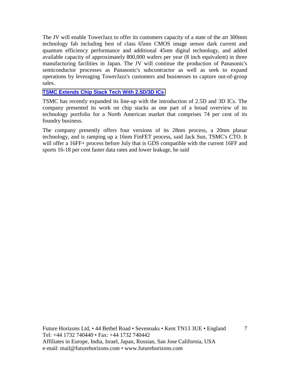The JV will enable TowerJazz to offer its customers capacity of a state of the art 300mm technology fab including best of class 65nm CMOS image sensor dark current and quantum efficiency performance and additional 45nm digital technology, and added available capacity of approximately 800,000 wafers per year (8 inch equivalent) in three manufacturing facilities in Japan. The JV will continue the production of Panasonic's semiconductor processes as Panasonic's subcontractor as well as seek to expand operations by leveraging TowerJazz's customers and businesses to capture out-of-group sales.

#### **[TSMC Extends Chip Stack Tech With 2.5D/3D ICs](http://www.eetindia.co.in/ART_8800697661_1800007_NT_15df171e.HTM)**

TSMC has recently expanded its line-up with the introduction of 2.5D and 3D ICs. The company presented its work on chip stacks as one part of a broad overview of its technology portfolio for a North American market that comprises 74 per cent of its foundry business.

The company presently offers four versions of its 28nm process, a 20nm planar technology, and is ramping up a 16nm FinFET process, said Jack Sun, TSMC's CTO. It will offer a 16FF+ process before July that is GDS compatible with the current 16FF and sports 16-18 per cent faster data rates and lower leakage, he said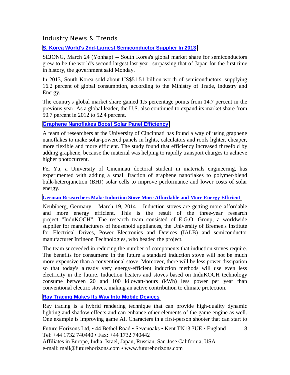Industry News & Trends

**[S. Korea World's 2nd-Largest Semiconductor Supplier In 2013](http://english.yonhapnews.co.kr/business/2014/03/24/56/0503000000AEN20140324001200320F.html)**

SEJONG, March 24 (Yonhap) -- South Korea's global market share for semiconductors grew to be the world's second largest last year, surpassing that of Japan for the first time in history, the government said Monday.

In 2013, South Korea sold about US\$51.51 billion worth of semiconductors, supplying 16.2 percent of global consumption, according to the Ministry of Trade, Industry and Energy.

The country's global market share gained 1.5 percentage points from 14.7 percent in the previous year. As a global leader, the U.S. also continued to expand its market share from 50.7 percent in 2012 to 52.4 percent.

#### **[Graphene Nanoflakes Boost Solar Panel Efficiency](http://www.eetindia.co.in/ART_8800695897_1800008_NT_0c4af8a9.HTM?click_from=8800110723,9950114561,2014-03-10,EEIOL,ARTICLE_ALERT)**

A team of researchers at the University of Cincinnati has found a way of using graphene nanoflakes to make solar-powered panels in lights, calculators and roofs lighter, cheaper, more flexible and more efficient. The study found that efficiency increased threefold by adding graphene, because the material was helping to rapidly transport charges to achieve higher photocurrent.

Fei Yu, a University of Cincinnati doctoral student in materials engineering, has experimented with adding a small fraction of graphene nanoflakes to polymer-blend bulk-heterojunction (BHJ) solar cells to improve performance and lower costs of solar energy.

**[German Researchers Make Induction Stove More Affordable and More Energy Efficient](http://www.infineon.com/cms/en/corporate/press/news/releases/2014/INFXX201403-030.html)**

Neubiberg, Germany – March 19, 2014 – Induction stoves are getting more affordable and more energy efficient. This is the result of the three-year research project "InduKOCH". The research team consisted of E.G.O. Group, a worldwide supplier for manufacturers of household appliances, the University of Bremen's Institute for Electrical Drives, Power Electronics and Devices (IALB) and semiconductor manufacturer Infineon Technologies, who headed the project.

The team succeeded in reducing the number of components that induction stoves require. The benefits for consumers: in the future a standard induction stove will not be much more expensive than a conventional stove. Moreover, there will be less power dissipation so that today's already very energy-efficient induction methods will use even less electricity in the future. Induction heaters and stoves based on InduKOCH technology consume between 20 and 100 kilowatt-hours (kWh) less power per year than conventional electric stoves, making an active contribution to climate protection.

## **[Ray Tracing Makes Its Way Into Mobile Devices](http://www.eetindia.co.in/ART_8800696315_1800012_NT_b9742fac.HTM)**

Ray tracing is a hybrid rendering technique that can provide high-quality dynamic lighting and shadow effects and can enhance other elements of the game engine as well. One example is improving game AI. Characters in a first-person shooter that can start to

Future Horizons Ltd, • 44 Bethel Road • Sevenoaks • Kent TN13 3UE • England Tel: +44 1732 740440 • Fax: +44 1732 740442 Affiliates in Europe, India, Israel, Japan, Russian, San Jose California, USA e-mail: mail@futurehorizons.com • www.futurehorizons.com

8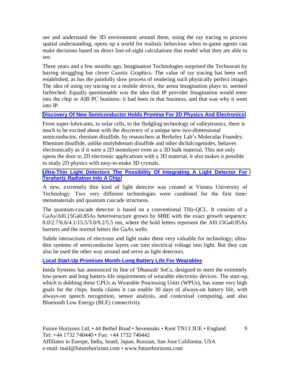see and understand the 3D environment around them, using the ray tracing to process spatial understanding, opens up a world for realistic behaviour when in-game agents can make decisions based on direct line-of-sight calculations that model what they are able to see.

Three years and a few months ago, Imagination Technologies surprised the Technorati by buying struggling but clever Caustic Graphics. The value of ray tracing has been well established, as has the painfully slow process of rendering such physically perfect images. The idea of using ray tracing on a mobile device, the arena Imagination plays in, seemed farfetched. Equally questionable was the idea that IP provider Imagination would enter into the chip or AIB PC business: it had been in that business, and that was why it went into IP.

## **[Discovery Of New Semiconductor Holds Promise For 2D Physics And Electronics](http://newscenter.lbl.gov/science-shorts/2014/03/20/discovery-of-rhenium-disulfide/)**

From super-lubricants, to solar cells, to the fledgling technology of valleytronics, there is much to be excited about with the discovery of a unique new two-dimensional semiconductor, rhenium disulfide, by researchers at Berkeley Lab's Molecular Foundry. Rhenium disulfide, unlike molybdenum disulfide and other dichalcogenides, behaves electronically as if it were a 2D monolayer even as a 3D bulk material. This not only opens the door to 2D electronic applications with a 3D material, it also makes it possible to study 2D physics with easy-to-make 3D crystals.

**[Ultra-Thin Light Detectors The Possibility Of Integrating A Light Detector For](http://www.compoundsemiconductor.net/csc/news-details/id/19737450/name/Ultrathin-light-detectors.html)  [Terahertz Radiation Into A Chip](http://www.compoundsemiconductor.net/csc/news-details/id/19737450/name/Ultrathin-light-detectors.html)** 

A new, extremely thin kind of light detector was created at Vienna University of Technology. Two very different technologies were combined for the first time: metamaterials and quantum cascade structures.

The quantum-cascade detector is based on a conventional THz-QCL. It consists of a GaAs/Al0.15Ga0.85As heterostructure grown by MBE with the exact growth sequence: 8.0/2.7/6.6/4.1/15.5/3.0/9.2/5.5 nm, where the bold letters represent the Al0.15Ga0.85As barriers and the normal letters the GaAs wells.

Subtle interactions of electrons and light make them very valuable for technology; ultrathin systems of semiconductor layers can turn electrical voltage into light. But they can also be used the other way around and serve as light detectors.

## **Local Start-Up Promises Month-Long Battery Life For Wearables**

Ineda Systems has announced its line of 'Dhanush' SoCs, designed to meet the extremely low-power and long battery-life requirements of wearable electronic devices. The start-up, which is dubbing these CPUs as Wearable Processing Units (WPUs), has some very high goals for the chips. Ineda claims it can enable 30 days of always-on battery life, with always-on speech recognition, sensor analysis, and contextual computing, and also Bluetooth Low Energy (BLE) connectivity.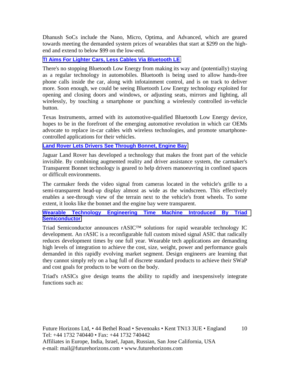Dhanush SoCs include the Nano, Micro, Optima, and Advanced, which are geared towards meeting the demanded system prices of wearables that start at \$299 on the highend and extend to below \$99 on the low-end.

# **[TI Aims For Lighter Cars, Less Cables Via Bluetooth LE](http://www.eetindia.co.in/ART_8800697548_1800005_NT_6b6ea507.HTM)**

There's no stopping Bluetooth Low Energy from making its way and (potentially) staying as a regular technology in automobiles. Bluetooth is being used to allow hands-free phone calls inside the car, along with infotainment control, and is on track to deliver more. Soon enough, we could be seeing Bluetooth Low Energy technology exploited for opening and closing doors and windows, or adjusting seats, mirrors and lighting, all wirelessly, by touching a smartphone or punching a wirelessly controlled in-vehicle button.

Texas Instruments, armed with its automotive-qualified Bluetooth Low Energy device, hopes to be in the forefront of the emerging automotive revolution in which car OEMs advocate to replace in-car cables with wireless technologies, and promote smartphonecontrolled applications for their vehicles.

## **[Land Rover Lets Drivers See Through Bonnet, Engine Bay](http://www.eetindia.co.in/ART_8800697241_1800001_NT_a277fc1b.HTM?click_from=8800111825,9950114561,2014-04-15,EEIOL,ARTICLE_ALERThttp://www.eetindia.co.in/ART_8800697241_1800001_NT_a277fc1b.HTM?click_from=8800111825,9950114561,2014-04-15,EEIOL,ARTICLE_ALERT)**

Jaguar Land Rover has developed a technology that makes the front part of the vehicle invisible. By combining augmented reality and driver assistance system, the carmaker's Transparent Bonnet technology is geared to help drivers manoeuvring in confined spaces or difficult environments.

The carmaker feeds the video signal from cameras located in the vehicle's grille to a semi-transparent head-up display almost as wide as the windscreen. This effectively enables a see-through view of the terrain next to the vehicle's front wheels. To some extent, it looks like the bonnet and the engine bay were transparent.

## **[Wearable Technology Engineering Time Machine Introduced By Triad](http://www.digitaljournal.com/pr/1893611)  [Semiconductor](http://www.digitaljournal.com/pr/1893611)**

Triad Semiconductor announces rASIC™ solutions for rapid wearable technology IC development. An rASIC is a reconfigurable full custom mixed signal ASIC that radically reduces development times by one full year. Wearable tech applications are demanding high levels of integration to achieve the cost, size, weight, power and performance goals demanded in this rapidly evolving market segment. Design engineers are learning that they cannot simply rely on a bag full of discrete standard products to achieve their SWaP and cost goals for products to be worn on the body.

Triad's rASICs give design teams the ability to rapidly and inexpensively integrate functions such as: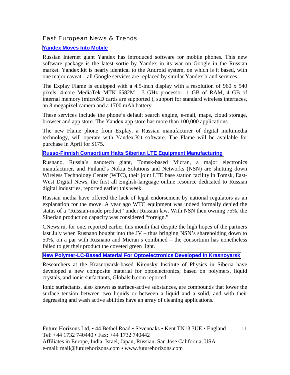#### East European News & Trends

#### **[Yandex Moves Into Mobile](http://rbth.com/science_and_tech/2014/03/19/yandex_moves_into_mobile_35199.html)**

Russian Internet giant Yandex has introduced software for mobile phones. This new software package is the latest sortie by Yandex in its war on Google in the Russian market. Yandex.kit is nearly identical to the Android system, on which is it based, with one major caveat – all Google services are replaced by similar Yandex brand services.

The Explay Flame is equipped with a 4.5-inch display with a resolution of 960 x 540 pixels, 4-core MediaTek MTK 6582M 1.3 GHz processor, 1 GB of RAM, 4 GB of internal memory (microSD cards are supported ), support for standard wireless interfaces, an 8 megapixel camera and a 1700 mAh battery.

These services include the phone's default search engine, e-mail, maps, cloud storage, browser and app store. The Yandex app store has more than 100,000 applications.

The new Flame phone from Explay, a Russian manufacturer of digital multimedia technology, will operate with Yandex.Kit software. The Flame will be available for purchase in April for \$175.

#### **[Russo-Finnish Consortium Halts Siberian LTE Equipment Manufacturing](http://www.marchmontnews.com/Finance-Business/Siberia/20563-Russo-Finnish-consortium-halts-Siberian-LTE-equipment-manufacturing.html)**

Rusnano, Russia's nanotech giant, Tomsk-based Micran, a major electronics manufacturer, and Finland's Nokia Solutions and Networks (NSN) are shutting down Wireless Technology Center (WTC), their joint LTE base station facility in Tomsk, East-West Digital News, the first all English-language online resource dedicated to Russian digital industries, reported earlier this week.

Russian media have offered the lack of legal endorsement by national regulators as an explanation for the move. A year ago WTC equipment was indeed formally denied the status of a "Russian-made product" under Russian law. With NSN then owning 75%, the Siberian production capacity was considered "foreign."

CNews.ru, for one, reported earlier this month that despite the high hopes of the partners last July when Rusnano bought into the JV – thus bringing NSN's shareholding down to 50%, on a par with Rusnano and Micran's combined – the consortium has nonetheless failed to get their product the coveted green light.

#### **[New Polymer-LC-Based Material For Optoelectronics Developed In Krasnoyarsk](http://www.marchmontnews.com/Technology-Innovation/Siberia/20561-New-polymer-LC-based-material-for-optoelectronics-developed-Krasnoyarsk.html)**

Researchers at the Krasnoyarsk-based Kirensky Institute of Physics in Siberia have developed a new composite material for optoelectronics, based on polymers, liquid crystals, and ionic surfactants, Globalsib.com reported.

Ionic surfactants, also known as surface-active substances, are compounds that lower the surface tension between two liquids or between a liquid and a solid, and with their degreasing and wash active abilities have an array of cleaning applications.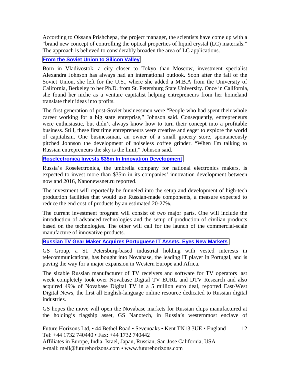According to Oksana Prishchepa, the project manager, the scientists have come up with a "brand new concept of controlling the optical properties of liquid crystal (LC) materials." The approach is believed to considerably broaden the area of LC applications.

#### **[From the Soviet Union to Silicon Valley](http://rbth.com/business/2014/03/25/from_the_soviet_union_to_silicon_valley_35359.html)**

Born in Vladivostok, a city closer to Tokyo than Moscow, investment specialist Alexandra Johnson has always had an international outlook. Soon after the fall of the Soviet Union, she left for the U.S., where she added a M.B.A from the University of California, Berkeley to her Ph.D. from St. Petersburg State University. Once in California, she found her niche as a venture capitalist helping entrepreneurs from her homeland translate their ideas into profits.

The first generation of post-Soviet businessmen were "People who had spent their whole career working for a big state enterprise," Johnson said. Consequently, entrepreneurs were enthusiastic, but didn't always know how to turn their concept into a profitable business. Still, these first time entrepreneurs were creative and eager to explore the world of capitalism. One businessman, an owner of a small grocery store, spontaneously pitched Johnson the development of noiseless coffee grinder. "When I'm talking to Russian entrepreneurs the sky is the limit," Johnson said.

#### **[Roselectronica Invests \\$35m In Innovation Development](http://www.marchmontnews.com/Finance-Business/Central-regions/20553-Roselectronica-invests-35m-innovation-development.html)**

Russia's Roselectronica, the umbrella company for national electronics makers, is expected to invest more than \$35m in its companies' innovation development between now and 2016, Nanonewsnet.ru reported.

The investment will reportedly be funneled into the setup and development of high-tech production facilities that would use Russian-made components, a measure expected to reduce the end cost of products by an estimated 20-27%.

The current investment program will consist of two major parts. One will include the introduction of advanced technologies and the setup of production of civilian products based on the technologies. The other will call for the launch of the commercial-scale manufacture of innovative products.

# **[Russian TV Gear Maker Acquires Portuguese IT Assets, Eyes New Markets](http://www.marchmontnews.com/Finance-Business/North-West/20610-Russian-TV-gear-maker-acquires-Portuguese-IT-assets-eyes-new-markets.html)**

GS Group, a St. Petersburg-based industrial holding with vested interests in telecommunications, has bought into Novabase, the leading IT player in Portugal, and is paving the way for a major expansion in Western Europe and Africa.

The sizable Russian manufacturer of TV receivers and software for TV operators last week completely took over Novabase Digital TV EURL and DTV Research and also acquired 49% of Novabase Digital TV in a 5 million euro deal, reported East-West Digital News, the first all English-language online resource dedicated to Russian digital industries.

GS hopes the move will open the Novabase markets for Russian chips manufactured at the holding's flagship asset, GS Nanotech, in Russia's westernmost enclave of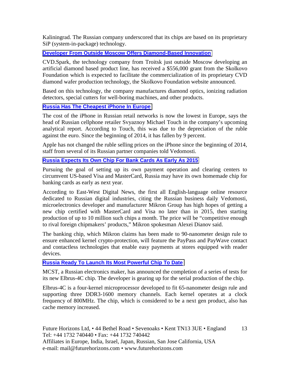Kaliningrad. The Russian company underscored that its chips are based on its proprietary SiP (system-in-package) technology.

#### **[Developer From Outside Moscow Offers Diamond-Based Innovation](http://www.marchmontnews.com/Finance-Business/Central-regions/20597-Developer-outside-Moscow-offers-diamond-based-innovation.html)**

CVD.Spark, the technology company from Troitsk just outside Moscow developing an artificial diamond based product line, has received a \$556,000 grant from the Skolkovo Foundation which is expected to facilitate the commercialization of its proprietary CVD diamond wafer production technology, the Skolkovo Foundation website announced.

Based on this technology, the company manufactures diamond optics, ionizing radiation detectors, special cutters for well-boring machines, and other products.

## **[Russia Has The Cheapest iPhone In Europe](http://rbth.com/business/2014/04/25/russia_has_the_cheapest_iphone_in_europe_36241.html)**

The cost of the iPhone in Russian retail networks is now the lowest in Europe, says the head of Russian cellphone retailer Svyaznoy Michael Touch in the company's upcoming analytical report. According to Touch, this was due to the depreciation of the ruble against the euro. Since the beginning of 2014, it has fallen by 9 percent.

Apple has not changed the ruble selling prices on the iPhone since the beginning of 2014, staff from several of its Russian partner companies told Vedomosti.

#### **[Russia Expects Its Own Chip For Bank Cards As Early As 2015](http://www.marchmontnews.com/Technology-Innovation/Central-regions/20662-Russia-expects-its-own-chip-for-bank-cards-as-early-as-2015.html)**

Pursuing the goal of setting up its own payment operation and clearing centers to circumvent US-based Visa and MasterCard, Russia may have its own homemade chip for banking cards as early as next year.

According to East-West Digital News, the first all English-language online resource dedicated to Russian digital industries, citing the Russian business daily Vedomosti, microelectronics developer and manufacturer Mikron Group has high hopes of getting a new chip certified with MasterCard and Visa no later than in 2015, then starting production of up to 10 million such chips a month. The price will be "competitive enough to rival foreign chipmakers' products," Mikron spokesman Alexei Dianov said.

The banking chip, which Mikron claims has been made to 90-nanometer design rule to ensure enhanced kernel crypto-protection, will feature the PayPass and PayWave contact and contactless technologies that enable easy payments at stores equipped with reader devices.

## **[Russia Ready To Launch Its Most Powerful Chip To Date](http://www.marchmontnews.com/Technology-Innovation/Central-regions/20655-Russia-ready-launch-its-most-powerful-chip-date.html)**

MCST, a Russian electronics maker, has announced the completion of a series of tests for its new Elbrus-4C chip. The developer is gearing up for the serial production of the chip.

Elbrus-4C is a four-kernel microprocessor developed to fit 65-nanometer design rule and supporting three DDR3-1600 memory channels. Each kernel operates at a clock frequency of 800MHz. The chip, which is considered to be a next gen product, also has cache memory increased.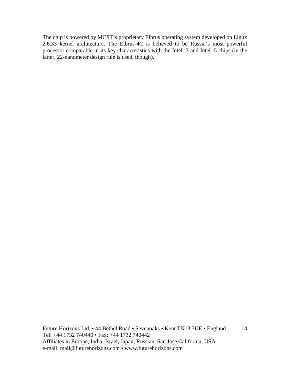The chip is powered by MCST's proprietary Elbrus operating system developed on Linux 2.6.33 kernel architecture. The Elbrus-4C is believed to be Russia's most powerful processor comparable in its key characteristics with the Intel i3 and Intel i5 chips (in the latter, 22-nanometer design rule is used, though).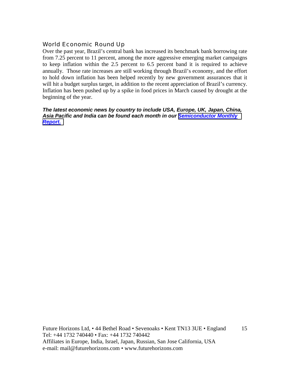# World Economic Round Up

Over the past year, Brazil's central bank has increased its benchmark bank borrowing rate from 7.25 percent to 11 percent, among the more aggressive emerging market campaigns to keep inflation within the 2.5 percent to 6.5 percent band it is required to achieve annually. Those rate increases are still working through Brazil's economy, and the effort to hold down inflation has been helped recently by new government assurances that it will hit a budget surplus target, in addition to the recent appreciation of Brazil's currency. Inflation has been pushed up by a spike in food prices in March caused by drought at the beginning of the year.

#### *The latest economic news by country to include USA, Europe, UK, Japan, China, Asia Pacific and India can be found each month in our [Semiconductor Monthly](http://www.futurehorizons.com/page/18/Global-Semiconductor-Report)  [Report.](http://www.futurehorizons.com/page/18/Global-Semiconductor-Report)*